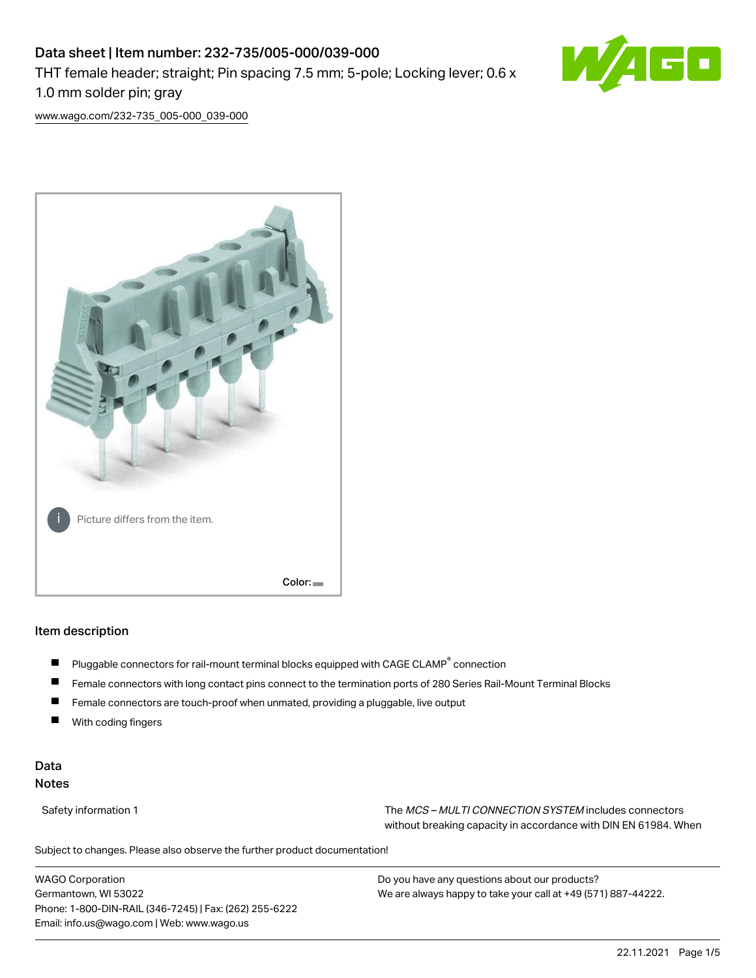# Data sheet | Item number: 232-735/005-000/039-000 THT female header; straight; Pin spacing 7.5 mm; 5-pole; Locking lever; 0.6 x 1.0 mm solder pin; gray



[www.wago.com/232-735\\_005-000\\_039-000](http://www.wago.com/232-735_005-000_039-000)



# Item description

- Pluggable connectors for rail-mount terminal blocks equipped with CAGE CLAMP<sup>®</sup> connection П
- ш Female connectors with long contact pins connect to the termination ports of 280 Series Rail-Mount Terminal Blocks
- П Female connectors are touch-proof when unmated, providing a pluggable, live output
- With coding fingers

#### Data Notes

Safety information 1 The MCS – MULTI CONNECTION SYSTEM includes connectors without breaking capacity in accordance with DIN EN 61984. When

Subject to changes. Please also observe the further product documentation!  $\mathbf{u}$ 

WAGO Corporation Germantown, WI 53022 Phone: 1-800-DIN-RAIL (346-7245) | Fax: (262) 255-6222 Email: info.us@wago.com | Web: www.wago.us

Do you have any questions about our products? We are always happy to take your call at +49 (571) 887-44222.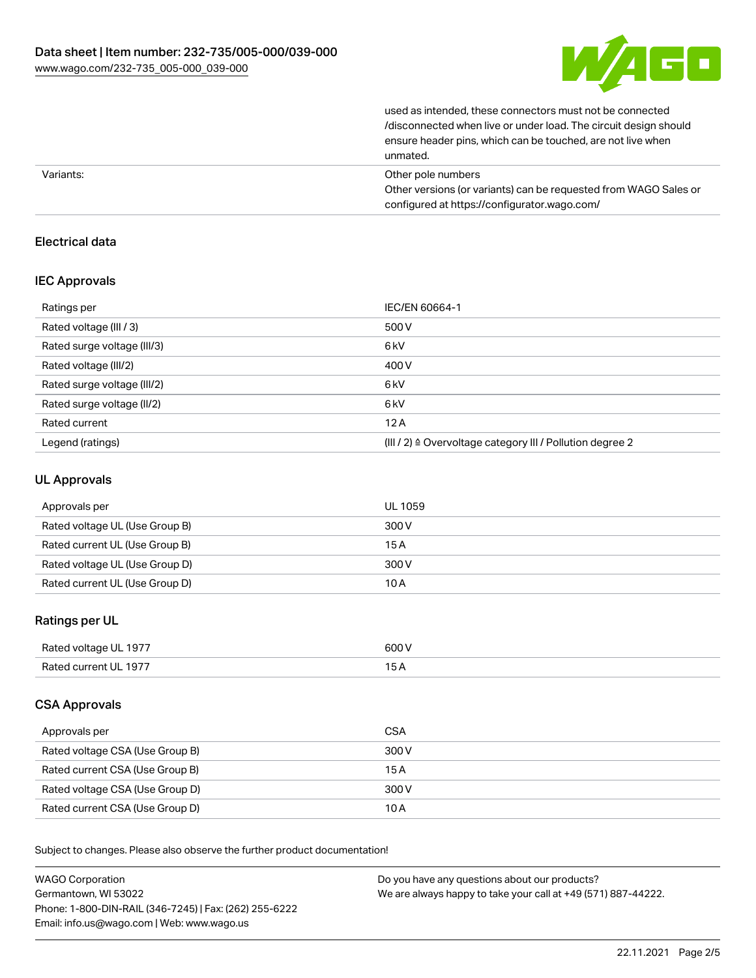

used as intended, these connectors must not be connected /disconnected when live or under load. The circuit design should ensure header pins, which can be touched, are not live when unmated.

|           | unnatcu.                                                         |
|-----------|------------------------------------------------------------------|
| Variants: | Other pole numbers                                               |
|           | Other versions (or variants) can be requested from WAGO Sales or |
|           | configured at https://configurator.wago.com/                     |

# Electrical data

#### IEC Approvals

| Ratings per                 | IEC/EN 60664-1                                            |
|-----------------------------|-----------------------------------------------------------|
| Rated voltage (III / 3)     | 500 V                                                     |
| Rated surge voltage (III/3) | 6 <sub>kV</sub>                                           |
| Rated voltage (III/2)       | 400 V                                                     |
| Rated surge voltage (III/2) | 6 <sub>kV</sub>                                           |
| Rated surge voltage (II/2)  | 6 <sub>kV</sub>                                           |
| Rated current               | 12A                                                       |
| Legend (ratings)            | (III / 2) ≙ Overvoltage category III / Pollution degree 2 |

### UL Approvals

| Approvals per                  | UL 1059 |
|--------------------------------|---------|
| Rated voltage UL (Use Group B) | 300 V   |
| Rated current UL (Use Group B) | 15 A    |
| Rated voltage UL (Use Group D) | 300 V   |
| Rated current UL (Use Group D) | 10 A    |

# Ratings per UL

| Rated voltage UL 1977 | 600 V |
|-----------------------|-------|
| Rated current UL 1977 |       |

#### CSA Approvals

| Approvals per                   | CSA   |
|---------------------------------|-------|
| Rated voltage CSA (Use Group B) | 300 V |
| Rated current CSA (Use Group B) | 15 A  |
| Rated voltage CSA (Use Group D) | 300 V |
| Rated current CSA (Use Group D) | 10 A  |

Subject to changes. Please also observe the further product documentation!

| <b>WAGO Corporation</b>                                | Do you have any questions about our products?                 |
|--------------------------------------------------------|---------------------------------------------------------------|
| Germantown, WI 53022                                   | We are always happy to take your call at +49 (571) 887-44222. |
| Phone: 1-800-DIN-RAIL (346-7245)   Fax: (262) 255-6222 |                                                               |
| Email: info.us@wago.com   Web: www.wago.us             |                                                               |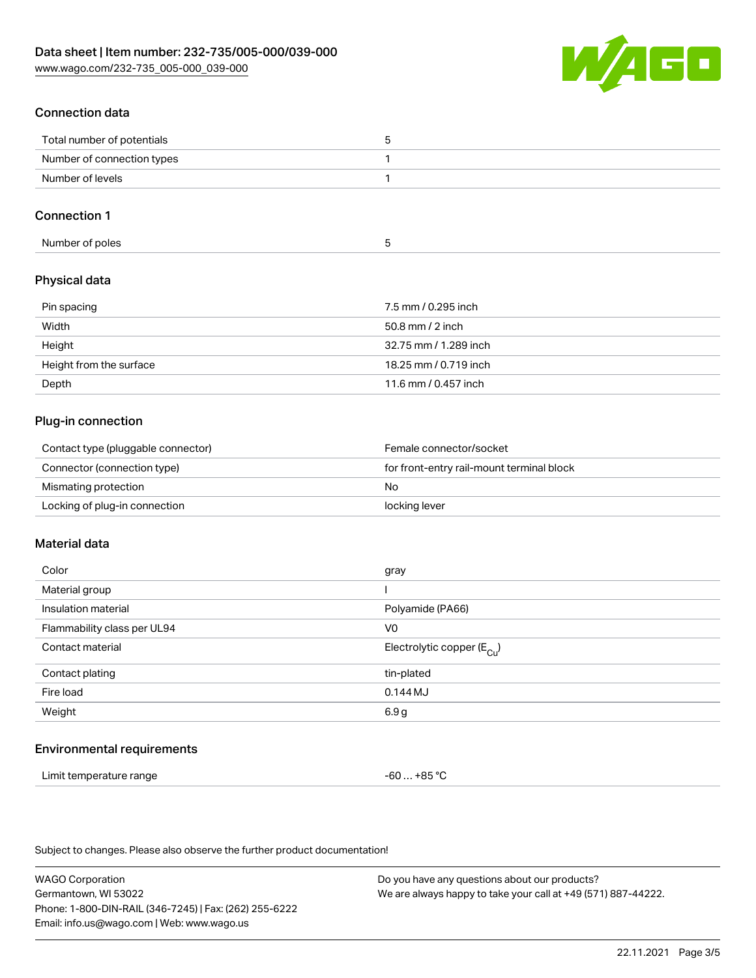

### Connection data

| Total number of potentials |  |
|----------------------------|--|
| Number of connection types |  |
| Number of levels           |  |
|                            |  |

#### Connection 1

| Number of poles |  |
|-----------------|--|
|-----------------|--|

#### Physical data

| Pin spacing             | 7.5 mm / 0.295 inch   |
|-------------------------|-----------------------|
| Width                   | $50.8$ mm $/$ 2 inch  |
| Height                  | 32.75 mm / 1.289 inch |
| Height from the surface | 18.25 mm / 0.719 inch |
| Depth                   | 11.6 mm / 0.457 inch  |

# Plug-in connection

| Contact type (pluggable connector) | Female connector/socket                   |
|------------------------------------|-------------------------------------------|
| Connector (connection type)        | for front-entry rail-mount terminal block |
| Mismating protection               | No.                                       |
| Locking of plug-in connection      | locking lever                             |

#### Material data

| gray                                   |
|----------------------------------------|
|                                        |
| Polyamide (PA66)                       |
| V <sub>0</sub>                         |
| Electrolytic copper (E <sub>Cu</sub> ) |
| tin-plated                             |
| $0.144$ MJ                             |
| 6.9g                                   |
|                                        |

#### Environmental requirements

| Limit temperature range | $-60+85 °C$ |  |  |
|-------------------------|-------------|--|--|
|-------------------------|-------------|--|--|

Subject to changes. Please also observe the further product documentation!

WAGO Corporation Germantown, WI 53022 Phone: 1-800-DIN-RAIL (346-7245) | Fax: (262) 255-6222 Email: info.us@wago.com | Web: www.wago.us Do you have any questions about our products? We are always happy to take your call at +49 (571) 887-44222.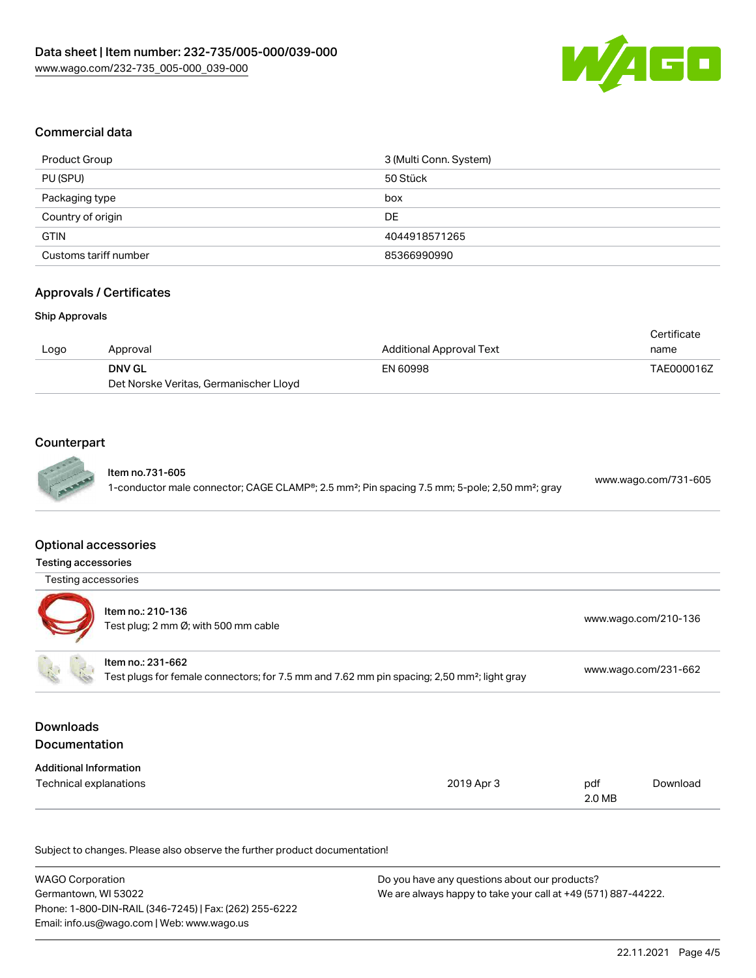

### Commercial data

| <b>Product Group</b>  | 3 (Multi Conn. System) |
|-----------------------|------------------------|
| PU (SPU)              | 50 Stück               |
| Packaging type        | box                    |
| Country of origin     | DE                     |
| <b>GTIN</b>           | 4044918571265          |
| Customs tariff number | 85366990990            |

# Approvals / Certificates

#### Ship Approvals

|      |                                        |                                 | Certificate |
|------|----------------------------------------|---------------------------------|-------------|
| Logo | Approval                               | <b>Additional Approval Text</b> | name        |
|      | <b>DNV GL</b>                          | EN 60998                        | TAE000016Z  |
|      | Det Norske Veritas, Germanischer Lloyd |                                 |             |

#### Counterpart

| <b>CARP</b> | Item no.731-605<br>1-conductor male connector; CAGE CLAMP®; 2.5 mm <sup>2</sup> ; Pin spacing 7.5 mm; 5-pole; 2,50 mm <sup>2</sup> ; gray | www.wago.com/731-605 |  |
|-------------|-------------------------------------------------------------------------------------------------------------------------------------------|----------------------|--|
|             |                                                                                                                                           |                      |  |

#### Optional accessories

Testing accessories

| Testing accessories                      |                                                                                                                              |                      |
|------------------------------------------|------------------------------------------------------------------------------------------------------------------------------|----------------------|
|                                          | Item no.: 210-136<br>Test plug; 2 mm Ø; with 500 mm cable                                                                    | www.wago.com/210-136 |
|                                          | Item no.: 231-662<br>Test plugs for female connectors; for 7.5 mm and 7.62 mm pin spacing; 2,50 mm <sup>2</sup> ; light gray | www.wago.com/231-662 |
| <b>Downloads</b><br><b>Documentation</b> |                                                                                                                              |                      |

| <b>Additional Information</b> |            |        |          |
|-------------------------------|------------|--------|----------|
| Technical explanations        | 2019 Apr 3 | pdf    | Download |
|                               |            | 2.0 MB |          |

Subject to changes. Please also observe the further product documentation!

| <b>WAGO Corporation</b>                                | Do you have any questions about our products?                 |
|--------------------------------------------------------|---------------------------------------------------------------|
| Germantown, WI 53022                                   | We are always happy to take your call at +49 (571) 887-44222. |
| Phone: 1-800-DIN-RAIL (346-7245)   Fax: (262) 255-6222 |                                                               |
| Email: info.us@wago.com   Web: www.wago.us             |                                                               |